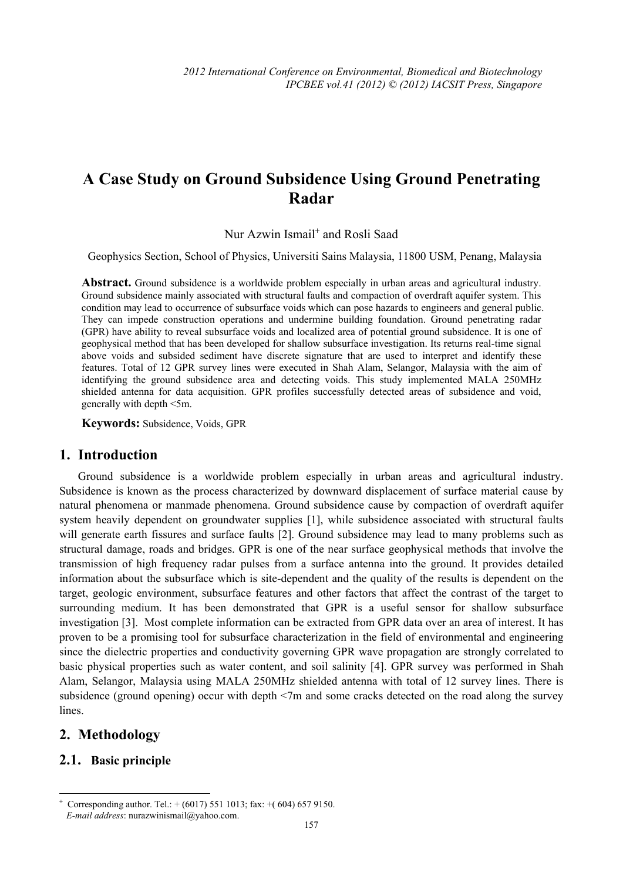# **A Case Study on Ground Subsidence Using Ground Penetrating Radar**

Nur Azwin Ismail<sup>+</sup> and Rosli Saad

Geophysics Section, School of Physics, Universiti Sains Malaysia, 11800 USM, Penang, Malaysia

Abstract. Ground subsidence is a worldwide problem especially in urban areas and agricultural industry. Ground subsidence mainly associated with structural faults and compaction of overdraft aquifer system. This condition may lead to occurrence of subsurface voids which can pose hazards to engineers and general public. They can impede construction operations and undermine building foundation. Ground penetrating radar (GPR) have ability to reveal subsurface voids and localized area of potential ground subsidence. It is one of geophysical method that has been developed for shallow subsurface investigation. Its returns real-time signal above voids and subsided sediment have discrete signature that are used to interpret and identify these features. Total of 12 GPR survey lines were executed in Shah Alam, Selangor, Malaysia with the aim of identifying the ground subsidence area and detecting voids. This study implemented MALA 250MHz shielded antenna for data acquisition. GPR profiles successfully detected areas of subsidence and void, generally with depth <5m.

**Keywords:** Subsidence, Voids, GPR

## **1. Introduction**

Ground subsidence is a worldwide problem especially in urban areas and agricultural industry. Subsidence is known as the process characterized by downward displacement of surface material cause by natural phenomena or manmade phenomena. Ground subsidence cause by compaction of overdraft aquifer system heavily dependent on groundwater supplies [1], while subsidence associated with structural faults will generate earth fissures and surface faults [2]. Ground subsidence may lead to many problems such as structural damage, roads and bridges. GPR is one of the near surface geophysical methods that involve the transmission of high frequency radar pulses from a surface antenna into the ground. It provides detailed information about the subsurface which is site-dependent and the quality of the results is dependent on the target, geologic environment, subsurface features and other factors that affect the contrast of the target to surrounding medium. It has been demonstrated that GPR is a useful sensor for shallow subsurface investigation [3]. Most complete information can be extracted from GPR data over an area of interest. It has proven to be a promising tool for subsurface characterization in the field of environmental and engineering since the dielectric properties and conductivity governing GPR wave propagation are strongly correlated to basic physical properties such as water content, and soil salinity [4]. GPR survey was performed in Shah Alam, Selangor, Malaysia using MALA 250MHz shielded antenna with total of 12 survey lines. There is subsidence (ground opening) occur with depth <7m and some cracks detected on the road along the survey lines.

## **2. Methodology**

 $\overline{a}$ 

#### **2.1. Basic principle**

<sup>+</sup> Corresponding author. Tel.:  $+ (6017) 551 1013$ ; fax:  $+ (604) 657 9150$ . *E-mail address*: nurazwinismail@yahoo.com.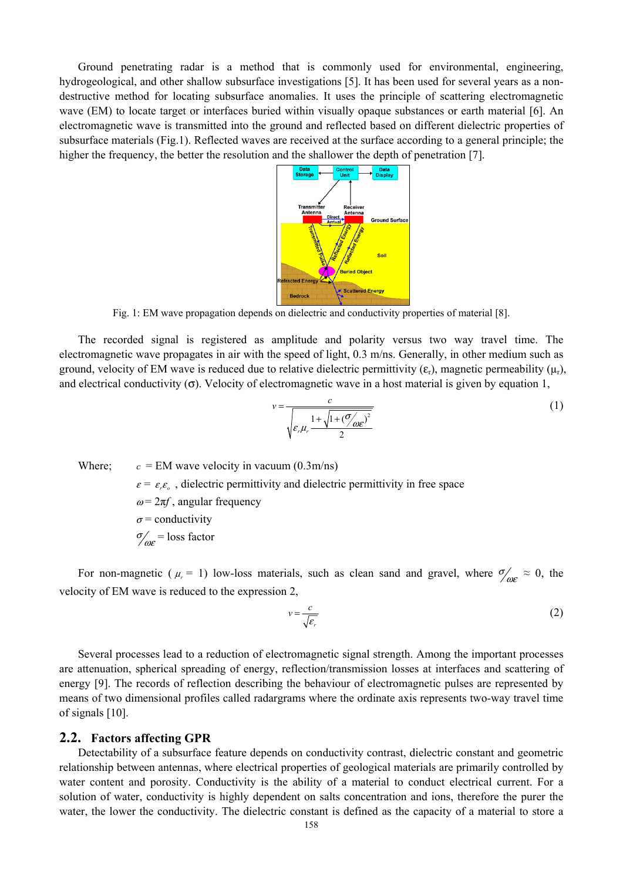Ground penetrating radar is a method that is commonly used for environmental, engineering, hydrogeological, and other shallow subsurface investigations [5]. It has been used for several years as a nondestructive method for locating subsurface anomalies. It uses the principle of scattering electromagnetic wave (EM) to locate target or interfaces buried within visually opaque substances or earth material [6]. An electromagnetic wave is transmitted into the ground and reflected based on different dielectric properties of subsurface materials (Fig.1). Reflected waves are received at the surface according to a general principle; the higher the frequency, the better the resolution and the shallower the depth of penetration [7].



Fig. 1: EM wave propagation depends on dielectric and conductivity properties of material [8].

The recorded signal is registered as amplitude and polarity versus two way travel time. The electromagnetic wave propagates in air with the speed of light, 0.3 m/ns. Generally, in other medium such as ground, velocity of EM wave is reduced due to relative dielectric permittivity  $(\varepsilon_r)$ , magnetic permeability  $(\mu_r)$ , and electrical conductivity  $(\sigma)$ . Velocity of electromagnetic wave in a host material is given by equation 1,

$$
v = \frac{c}{\sqrt{\varepsilon_r \mu_r \frac{1 + \sqrt{1 + (\mathcal{O}/\rho_c r})^2}{2}}}
$$
(1)

Where;  $c = EM$  wave velocity in vacuum (0.3m/ns)  $\varepsilon = \varepsilon_{\varepsilon} \varepsilon_{o}$ , dielectric permittivity and dielectric permittivity in free space  $\omega = 2\pi f$ , angular frequency  $\sigma$  = conductivity  $\sigma_{\omega\varepsilon}$  = loss factor

For non-magnetic ( $\mu_r = 1$ ) low-loss materials, such as clean sand and gravel, where  $\sigma'_{\omega \varepsilon} \approx 0$ , the velocity of EM wave is reduced to the expression 2,

$$
v = \frac{c}{\sqrt{\varepsilon_r}}\tag{2}
$$

Several processes lead to a reduction of electromagnetic signal strength. Among the important processes are attenuation, spherical spreading of energy, reflection/transmission losses at interfaces and scattering of energy [9]. The records of reflection describing the behaviour of electromagnetic pulses are represented by means of two dimensional profiles called radargrams where the ordinate axis represents two-way travel time of signals [10].

#### **2.2. Factors affecting GPR**

Detectability of a subsurface feature depends on conductivity contrast, dielectric constant and geometric relationship between antennas, where electrical properties of geological materials are primarily controlled by water content and porosity. Conductivity is the ability of a material to conduct electrical current. For a solution of water, conductivity is highly dependent on salts concentration and ions, therefore the purer the water, the lower the conductivity. The dielectric constant is defined as the capacity of a material to store a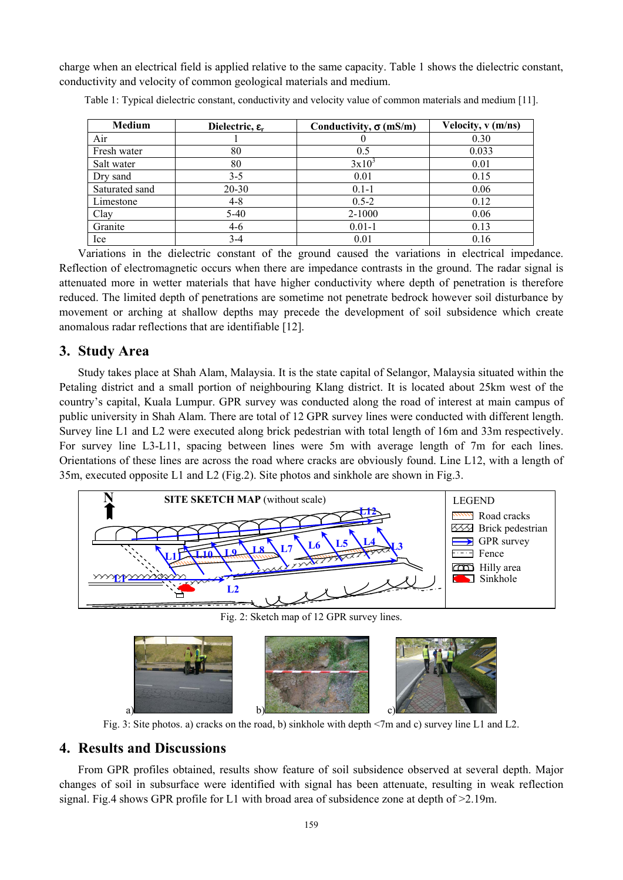charge when an electrical field is applied relative to the same capacity. Table 1 shows the dielectric constant, conductivity and velocity of common geological materials and medium.

| <b>Medium</b>  | Dielectric, $\epsilon_{r}$ | Conductivity, $\sigma$ (mS/m) | Velocity, v (m/ns) |
|----------------|----------------------------|-------------------------------|--------------------|
| Air            |                            |                               | 0.30               |
| Fresh water    | 80                         | 0.5                           | 0.033              |
| Salt water     | 80                         | $3x10^3$                      | 0.01               |
| Dry sand       | $3 - 5$                    | 0.01                          | 0.15               |
| Saturated sand | 20-30                      | $0.1 - 1$                     | 0.06               |
| Limestone      | $4 - 8$                    | $0.5 - 2$                     | 0.12               |
| Clay           | $5-40$                     | 2-1000                        | 0.06               |
| Granite        | $4-6$                      | $0.01 - 1$                    | 0.13               |
| Ice            | $3-4$                      | 0.01                          | 0.16               |

Table 1: Typical dielectric constant, conductivity and velocity value of common materials and medium [11].

Variations in the dielectric constant of the ground caused the variations in electrical impedance. Reflection of electromagnetic occurs when there are impedance contrasts in the ground. The radar signal is attenuated more in wetter materials that have higher conductivity where depth of penetration is therefore reduced. The limited depth of penetrations are sometime not penetrate bedrock however soil disturbance by movement or arching at shallow depths may precede the development of soil subsidence which create anomalous radar reflections that are identifiable [12].

#### **3. Study Area**

Study takes place at Shah Alam, Malaysia. It is the state capital of Selangor, Malaysia situated within the Petaling district and a small portion of neighbouring Klang district. It is located about 25km west of the country's capital, Kuala Lumpur. GPR survey was conducted along the road of interest at main campus of public university in Shah Alam. There are total of 12 GPR survey lines were conducted with different length. Survey line L1 and L2 were executed along brick pedestrian with total length of 16m and 33m respectively. For survey line L3-L11, spacing between lines were 5m with average length of 7m for each lines. Orientations of these lines are across the road where cracks are obviously found. Line L12, with a length of 35m, executed opposite L1 and L2 (Fig.2). Site photos and sinkhole are shown in Fig.3.



Fig. 2: Sketch map of 12 GPR survey lines.



Fig. 3: Site photos. a) cracks on the road, b) sinkhole with depth <7m and c) survey line L1 and L2.

## **4. Results and Discussions**

From GPR profiles obtained, results show feature of soil subsidence observed at several depth. Major changes of soil in subsurface were identified with signal has been attenuate, resulting in weak reflection signal. Fig.4 shows GPR profile for L1 with broad area of subsidence zone at depth of >2.19m.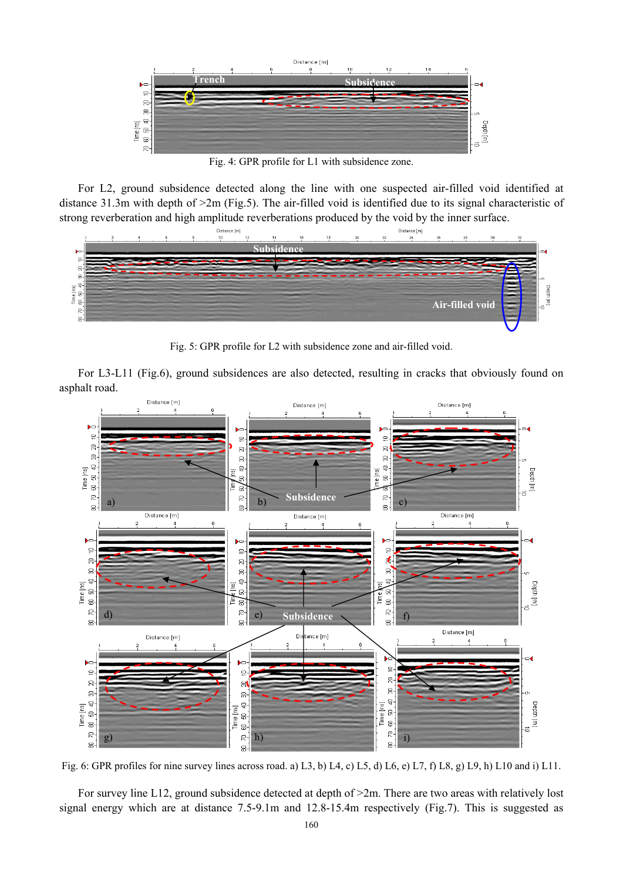

Fig. 4: GPR profile for L1 with subsidence zone.

For L2, ground subsidence detected along the line with one suspected air-filled void identified at distance 31.3m with depth of >2m (Fig.5). The air-filled void is identified due to its signal characteristic of strong reverberation and high amplitude reverberations produced by the void by the inner surface.



Fig. 5: GPR profile for L2 with subsidence zone and air-filled void.

For L3-L11 (Fig.6), ground subsidences are also detected, resulting in cracks that obviously found on asphalt road.



Fig. 6: GPR profiles for nine survey lines across road. a) L3, b) L4, c) L5, d) L6, e) L7, f) L8, g) L9, h) L10 and i) L11.

For survey line L12, ground subsidence detected at depth of >2m. There are two areas with relatively lost signal energy which are at distance 7.5-9.1m and 12.8-15.4m respectively (Fig.7). This is suggested as